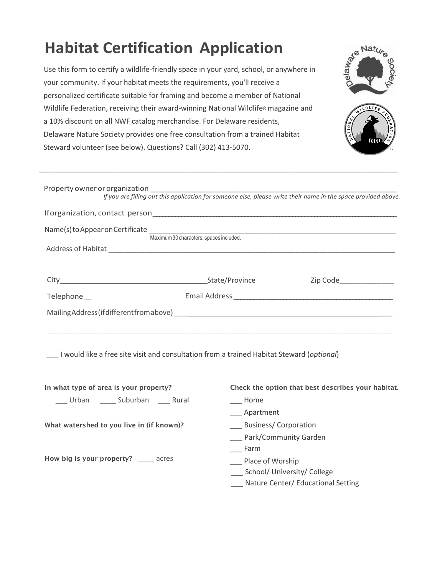# **Habitat Certification Application**

Use this form to certify a wildlife-friendly space in your yard, school, or anywhere in your community. If your habitat meets the requirements, you'll receive a personalized certificate suitable for framing and become a member of National Wildlife Federation, receiving their award-winning National Wildlife® magazine and a 10% discount on all NWF catalog merchandise. For Delaware residents, Delaware Nature Society provides one free consultation from a trained Habitat Steward volunteer (see below). Questions? Call (302) 413-5070.





| If you are filling out this application for someone else, please write their name in the space provided above. |  |
|----------------------------------------------------------------------------------------------------------------|--|
|                                                                                                                |  |
| Maximum 30 characters, spaces included.                                                                        |  |
|                                                                                                                |  |
|                                                                                                                |  |
|                                                                                                                |  |
|                                                                                                                |  |
|                                                                                                                |  |
|                                                                                                                |  |

**\_\_\_\_\_\_\_\_\_\_\_\_\_\_\_\_\_\_\_\_\_\_\_\_\_\_\_\_\_\_\_\_\_\_\_\_\_\_\_\_\_\_\_\_\_\_\_\_\_\_\_\_\_\_\_\_\_\_\_\_\_\_\_\_\_\_\_\_\_\_\_\_\_\_\_\_\_\_\_\_\_\_\_\_\_\_\_\_\_\_\_\_\_\_\_\_\_\_\_\_\_\_\_\_\_\_\_\_\_\_\_\_\_\_\_\_**

\_\_\_ I would like a free site visit and consultation from a trained Habitat Steward (*optional*)

| In what type of area is your property?    | Check the option that best describes your habitat. |
|-------------------------------------------|----------------------------------------------------|
| Urban Suburban Rural                      | Home                                               |
|                                           | Apartment                                          |
| What watershed to you live in (if known)? | <b>Business/Corporation</b>                        |
|                                           | __ Park/Community Garden                           |
|                                           | <b>Farm</b>                                        |
| How big is your property? ______ acres    | Place of Worship                                   |
|                                           | School/ University/ College                        |
|                                           | Nature Center/ Educational Setting                 |
|                                           |                                                    |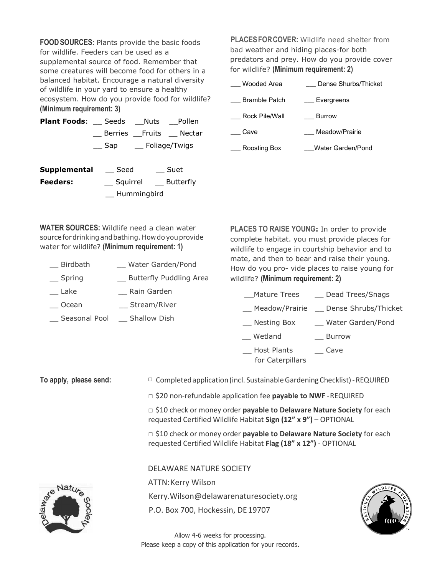**FOODSOURCES:** Plants provide the basic foods for wildlife. Feeders can be used as a supplemental source of food. Remember that some creatures will become food for others in a balanced habitat. Encourage a natural diversity of wildlife in your yard to ensure a healthy ecosystem. How do you provide food for wildlife? **(Minimum requirement: 3)**

| <b>Plant Foods:</b> Seeds Nuts Pollen |                          |                       |
|---------------------------------------|--------------------------|-----------------------|
|                                       |                          | Berries Fruits Nectar |
|                                       | __ Sap ___ Foliage/Twigs |                       |
|                                       |                          |                       |

| Supplemental | Seed        | Suet      |
|--------------|-------------|-----------|
| Feeders:     | Squirrel    | Butterfly |
|              | Hummingbird |           |

**PLACESFORCOVER:** Wildlife need shelter from bad weather and hiding places-for both predators and prey. How do you provide cover for wildlife? **(Minimum requirement: 2)**

| Wooded Area          | Dense Shurbs/Thicket |
|----------------------|----------------------|
| <b>Bramble Patch</b> | Evergreens           |
| Rock Pile/Wall       | Burrow               |
| Cave                 | Meadow/Prairie       |
| Roosting Box         | Water Garden/Pond    |

**WATER SOURCES:** Wildlife need a clean water sourcefordrinkingandbathing. Howdo youprovide water for wildlife? **(Minimum requirement: 1)**

- \_\_ Birdbath \_\_ Water Garden/Pond
- \_\_ Spring \_\_ Butterfly Puddling Area
- Lake **Rain Garden**
- \_\_ Ocean \_\_ Stream/River
- \_\_ Seasonal Pool \_\_ Shallow Dish

**PLACES TO RAISE YOUNG:** In order to provide complete habitat. you must provide places for wildlife to engage in courtship behavior and to mate, and then to bear and raise their young. How do you pro- vide places to raise young for wildlife? **(Minimum requirement: 2)**

- \_Mature Trees \_\_ Dead Trees/Snags
- Meadow/Prairie Dense Shrubs/Thicket
- \_\_ Nesting Box \_\_\_\_ Water Garden/Pond
- \_\_ Wetland \_\_ Burrow
- \_\_ Host Plants \_\_ Cave for Caterpillars

**To apply, please send:** □ Completedapplication(incl. SustainableGardeningChecklist)-REQUIRED

□ \$20 non-refundable application fee **payable to NWF** -REQUIRED

□ \$10 check or money order **payable to Delaware Nature Society** for each requested Certified Wildlife Habitat **Sign (12" x 9")** – OPTIONAL

□ \$10 check or money order **payable to Delaware Nature Society** for each requested Certified Wildlife Habitat **Flag (18" x 12")** - OPTIONAL

DELAWARE NATURE SOCIETY

ATTN:Kerry Wilson

Kerry.Wilson@delawarenaturesociety.org

P.O. Box 700, Hockessin, DE19707



Allow 4-6 weeks for processing. Please keep a copy of this application for your records.

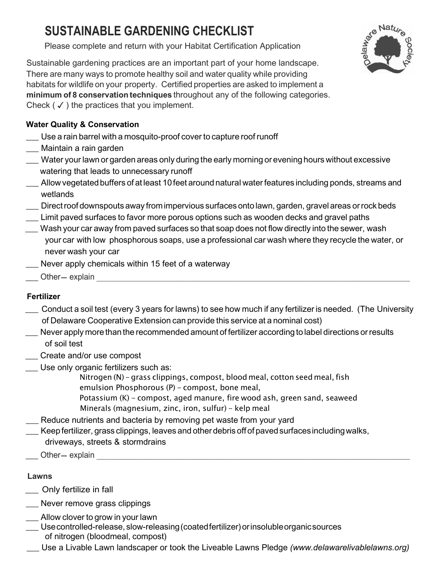## **SUSTAINABLE GARDENING CHECKLIST**

Please complete and return with your Habitat Certification Application



Sustainable gardening practices are an important part of your home landscape. There are many ways to promote healthy soil and water quality while providing habitats for wildlife on your property. Certified properties are asked to implement a **minimum of 8 conservation techniques** throughout any of the following categories. Check  $(\checkmark)$  the practices that you implement.

## **Water Quality & Conservation**

- \_\_\_ Use a rain barrel with a mosquito-proof cover to capture roof runoff
- \_\_\_ Maintain a rain garden
- \_\_\_ Water your lawn or garden areas only during the early morning or evening hours without excessive watering that leads to unnecessary runoff
- \_\_\_ Allow vegetatedbuffers of at least 10 feet around natural waterfeatures including ponds, streams and wetlands
- \_\_\_ Directroof downspouts away fromimpervious surfacesonto lawn, garden, gravel areas orrockbeds
- \_\_\_ Limit paved surfaces to favor more porous options such as wooden decks and gravel paths
- Wash your car away from paved surfaces so that soap does not flow directly into the sewer, wash your car with low phosphorous soaps, use a professional car wash where they recycle the water, or never wash your car
- \_\_\_ Never apply chemicals within 15 feet of a waterway \_\_\_ Other- explain \_\_\_\_\_\_\_\_\_\_\_\_\_\_\_\_\_\_\_\_\_\_\_\_\_\_\_\_\_\_\_\_\_\_\_\_\_\_\_\_\_\_\_\_\_\_\_\_\_\_\_\_\_\_\_\_\_\_\_\_\_\_\_\_\_\_\_\_\_\_\_\_\_\_\_
	-

## **Fertilizer**

- \_ Conduct <sup>a</sup> soil test (every <sup>3</sup> years for lawns) to see how much if any fertilizeris needed. (The University of Delaware Cooperative Extension can provide this service at a nominal cost)
- \_\_\_ Never apply more than the recommended amount of fertilizer according to label directions orresults of soil test
- \_\_\_ Create and/or use compost
- \_\_\_ Use only organic fertilizers such as:
	- Nitrogen (N) grass clippings, compost, blood meal, cotton seed meal, fish emulsion Phosphorous (P) - compost, bone meal, Potassium (K) - compost, aged manure, fire wood ash, green sand, seaweed
	- Minerals (magnesium, zinc, iron, sulfur) kelp meal
- \_\_\_ Reduce nutrients and bacteria by removing pet waste from your yard
- \_\_\_ Keep fertilizer, grass clippings, leaves and otherdebris offof pavedsurfacesincludingwalks, driveways, streets & stormdrains \_\_\_ Other- explain \_\_\_\_\_\_\_\_\_\_\_\_\_\_\_\_\_\_\_\_\_\_\_\_\_\_\_\_\_\_\_\_\_\_\_\_\_\_\_\_\_\_\_\_\_\_\_\_\_\_\_\_\_\_\_\_\_\_\_\_\_\_\_\_\_\_\_\_\_\_\_\_\_\_\_
	-

## **Lawns**

- \_ Only fertilize in fall
- \_\_\_ Never remove grass clippings
- Allow clover to grow in your lawn
- \_\_\_ Usecontrolled-release, slow-releasing(coatedfertilizer)orinsolubleorganicsources of nitrogen (bloodmeal, compost)
- \_\_\_ Use a Livable Lawn landscaper or took the Liveable Lawns Pledge *(www.delawarelivablelawns.org)*